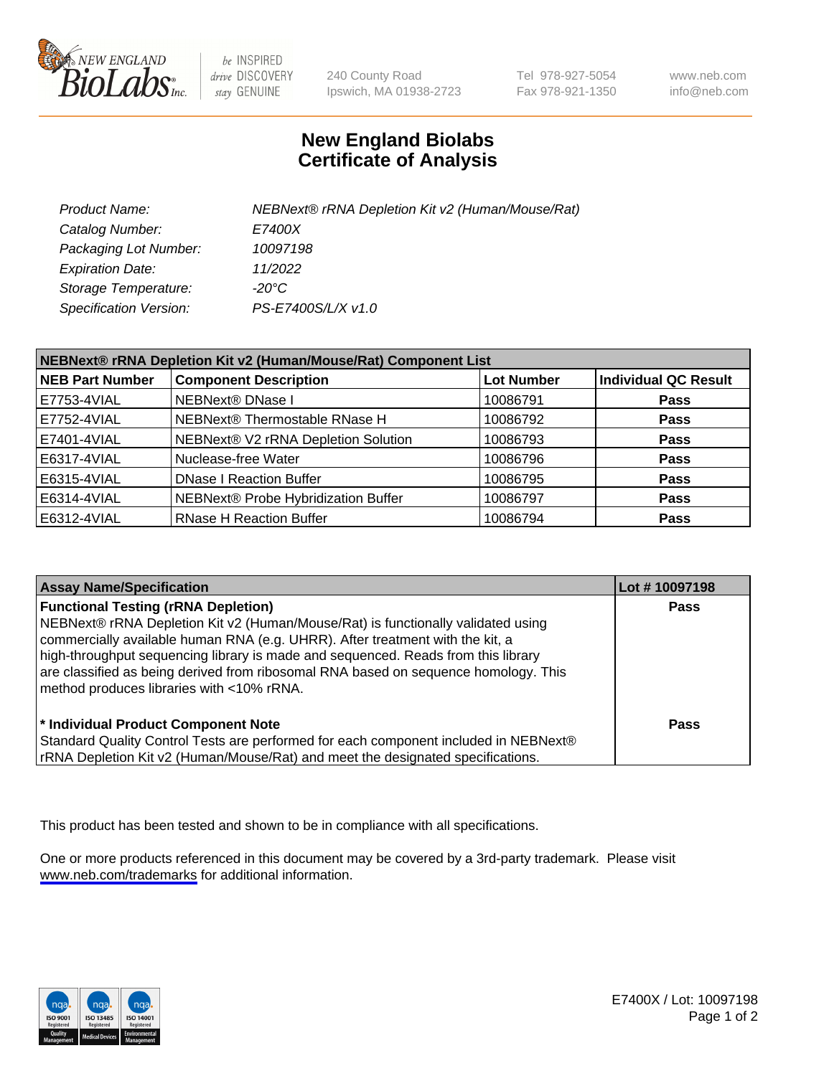

be INSPIRED drive DISCOVERY stay GENUINE

240 County Road Ipswich, MA 01938-2723 Tel 978-927-5054 Fax 978-921-1350

www.neb.com info@neb.com

## **New England Biolabs Certificate of Analysis**

| Product Name:           | NEBNext® rRNA Depletion Kit v2 (Human/Mouse/Rat) |
|-------------------------|--------------------------------------------------|
| Catalog Number:         | <i>E7400X</i>                                    |
| Packaging Lot Number:   | 10097198                                         |
| <b>Expiration Date:</b> | 11/2022                                          |
| Storage Temperature:    | -20°C                                            |
| Specification Version:  | PS-E7400S/L/X v1.0                               |

| NEBNext® rRNA Depletion Kit v2 (Human/Mouse/Rat) Component List |                                     |                   |                             |  |
|-----------------------------------------------------------------|-------------------------------------|-------------------|-----------------------------|--|
| <b>NEB Part Number</b>                                          | <b>Component Description</b>        | <b>Lot Number</b> | <b>Individual QC Result</b> |  |
| E7753-4VIAL                                                     | NEBNext® DNase I                    | 10086791          | <b>Pass</b>                 |  |
| E7752-4VIAL                                                     | NEBNext® Thermostable RNase H       | 10086792          | <b>Pass</b>                 |  |
| E7401-4VIAL                                                     | NEBNext® V2 rRNA Depletion Solution | 10086793          | <b>Pass</b>                 |  |
| E6317-4VIAL                                                     | Nuclease-free Water                 | 10086796          | <b>Pass</b>                 |  |
| E6315-4VIAL                                                     | <b>DNase I Reaction Buffer</b>      | 10086795          | <b>Pass</b>                 |  |
| E6314-4VIAL                                                     | NEBNext® Probe Hybridization Buffer | 10086797          | <b>Pass</b>                 |  |
| E6312-4VIAL                                                     | <b>RNase H Reaction Buffer</b>      | 10086794          | <b>Pass</b>                 |  |

| <b>Assay Name/Specification</b>                                                                                                                                                                                                                                                                                                                                                                                                          | Lot #10097198 |
|------------------------------------------------------------------------------------------------------------------------------------------------------------------------------------------------------------------------------------------------------------------------------------------------------------------------------------------------------------------------------------------------------------------------------------------|---------------|
| <b>Functional Testing (rRNA Depletion)</b><br>NEBNext® rRNA Depletion Kit v2 (Human/Mouse/Rat) is functionally validated using<br>commercially available human RNA (e.g. UHRR). After treatment with the kit, a<br>high-throughput sequencing library is made and sequenced. Reads from this library<br>are classified as being derived from ribosomal RNA based on sequence homology. This<br>method produces libraries with <10% rRNA. | <b>Pass</b>   |
| * Individual Product Component Note<br>Standard Quality Control Tests are performed for each component included in NEBNext®<br>rRNA Depletion Kit v2 (Human/Mouse/Rat) and meet the designated specifications.                                                                                                                                                                                                                           | Pass          |

This product has been tested and shown to be in compliance with all specifications.

One or more products referenced in this document may be covered by a 3rd-party trademark. Please visit <www.neb.com/trademarks>for additional information.